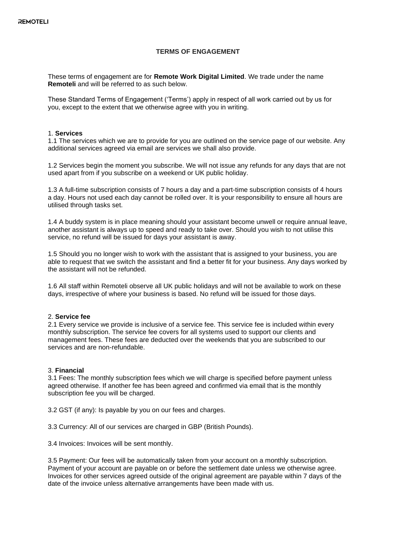# **TERMS OF ENGAGEMENT**

These terms of engagement are for **Remote Work Digital Limited**. We trade under the name **Remoteli** and will be referred to as such below.

These Standard Terms of Engagement ('Terms') apply in respect of all work carried out by us for you, except to the extent that we otherwise agree with you in writing.

#### 1. **Services**

1.1 The services which we are to provide for you are outlined on the service page of our website. Any additional services agreed via email are services we shall also provide.

1.2 Services begin the moment you subscribe. We will not issue any refunds for any days that are not used apart from if you subscribe on a weekend or UK public holiday.

1.3 A full-time subscription consists of 7 hours a day and a part-time subscription consists of 4 hours a day. Hours not used each day cannot be rolled over. It is your responsibility to ensure all hours are utilised through tasks set.

1.4 A buddy system is in place meaning should your assistant become unwell or require annual leave, another assistant is always up to speed and ready to take over. Should you wish to not utilise this service, no refund will be issued for days your assistant is away.

1.5 Should you no longer wish to work with the assistant that is assigned to your business, you are able to request that we switch the assistant and find a better fit for your business. Any days worked by the assistant will not be refunded.

1.6 All staff within Remoteli observe all UK public holidays and will not be available to work on these days, irrespective of where your business is based. No refund will be issued for those days.

### 2. **Service fee**

2.1 Every service we provide is inclusive of a service fee. This service fee is included within every monthly subscription. The service fee covers for all systems used to support our clients and management fees. These fees are deducted over the weekends that you are subscribed to our services and are non-refundable.

### 3. **Financial**

3.1 Fees: The monthly subscription fees which we will charge is specified before payment unless agreed otherwise. If another fee has been agreed and confirmed via email that is the monthly subscription fee you will be charged.

3.2 GST (if any): Is payable by you on our fees and charges.

3.3 Currency: All of our services are charged in GBP (British Pounds).

3.4 Invoices: Invoices will be sent monthly.

3.5 Payment: Our fees will be automatically taken from your account on a monthly subscription. Payment of your account are payable on or before the settlement date unless we otherwise agree. Invoices for other services agreed outside of the original agreement are payable within 7 days of the date of the invoice unless alternative arrangements have been made with us.